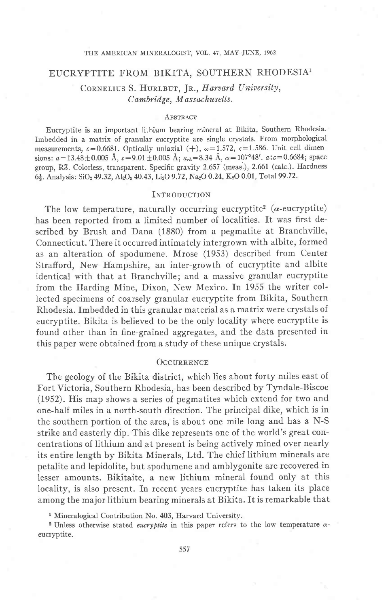### THE AMERICAN MINERALOGIST, VOL. 47, MAY-JUNE, 1962

## EUCRYPTITE FROM BIKITA, SOUTHERN RHODESIA1

CORNELIUS S. HURLBUT, JR., Harvard University, Cambridge, Massachusetts.

#### **ABSTRACT**

Eucryptite is an important lithium bearing mineral at Bikita, Southern Rhodesia. Imbedded in a matrix of granular eucryptite are single crystals. From morphological measurements,  $c=0.6681$ . Optically uniaxial (+),  $\omega=1.572$ ,  $\epsilon=1.586$ . Unit cell dimensions:  $a=13.48\pm0.005$  Å,  $c=9.01\pm0.005$  Å;  $a_{rh}=8.34$  Å,  $\alpha=107^{\circ}48'$ .  $a:c=0.6684$ ; space group, R3. Colorless, transparent. Specific gravity 2.657 (meas.), 2.661 (caIc.). Hardness 6<sup>1</sup>/<sub>2</sub>. Analysis: SiO<sub>2</sub> 49.32, Al<sub>2</sub>O<sub>3</sub> 40.43, Li<sub>2</sub>O 9.72, Na<sub>2</sub>O 0.24, K<sub>2</sub>O 0.01, Total 99.72.

#### **INTRODUCTION**

The low temperature, naturally occurring eucryptite<sup>2</sup> ( $\alpha$ -eucryptite) has been reported from a limited number of localities. It was first described by Brush and Dana (1380) from a pegmatite at Branchville, Connecticut. There it occurred intimately intergrown with albite, formed as an alteration of spodumene. Mrose (1953) described from Center Strafiord, New Hampshire, an inter-growth of eucryptite and albite identical with that at Branchville; and a massive granular eucryptite from the Harding Mine, Dixon, New Mexico. In 1955 the writer collected specimens of coarsely granular eucryptite from Bikita, Southern Rhodesia. Imbedded in this granular material as a matrix were crystals of eucryptite. Bikita is believed to be the only locality where eucryptite is found other than in fine-grained aggregates, and the data presented in this paper were obtained from a study of these unique crystals.

## **OCCURRENCE**

The geology of the Bikita district, which lies about forty miles east of Fort Victoria, Southern Rhodesia, has been described by Tyndale-Biscoe (1952). His map shows a series of pegmatites which extend for two and one-half miles in a north-south direction. The principal dike, which is in the southern portion of the area, is about one mile long and has a N-S strike and easterly dip. This dike represents one of the world's great concentrations of lithium and at present is being actively mined over nearly its entire length by Bikita Minerals, Ltd. The chief lithium minerals are petalite and lepidolite, but spodumene and amblygonite are recovered in lesser amounts. Bikitaite, a new lithium mineral found only at this Iocality, is also present. In recent years eucryptite has taken its place among the major Iithium bearing minerals at Bikita. It is remarkable that

<sup>1</sup> Mineralogical Contribution No. 403, Harvard University.

<sup>2</sup> Unless otherwise stated *eucryptite* in this paper refers to the low temperature  $\alpha$ eucryptite.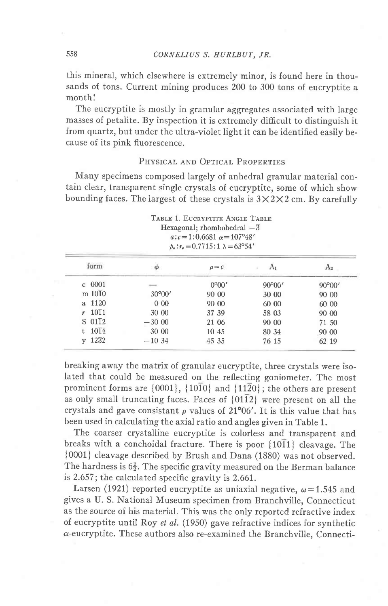this mineral, which elsewhere is extremely minor, is found here in thousands of tons. Current mining produces 200 to 300 tons of eucryptite a monthl

The eucryptite is mostly in granular aggregates associated with large masses of petalite. By inspection it is extremely difficult to distinguish it from quartz, but under the ultra-violet light it can be identified easily because of its pink fluorescence.

# PHYSICAL AND OPTICAL PROPERTIES

Many specimens composed largely of anhedral granular material contain clear, transparent single crystals of eucryptite, some of which show bounding faces. The largest of these crystals is  $3\times2\times2$  cm. By carefully

| TABLE 1. EUCRYPTITE ANGLE TABLE               |    |  |
|-----------------------------------------------|----|--|
| Hexagonal; rhombohedral $-\overline{3}$       |    |  |
| $a:c=1:0.6681\alpha=107^{\circ}48'$           |    |  |
| $p_o: r_o = 0.7715:1 \lambda = 63^{\circ}54'$ |    |  |
| $\rho = c$                                    | А. |  |

| form                   |                          | $\rho = c$     |                 |                 |
|------------------------|--------------------------|----------------|-----------------|-----------------|
| $c$ 0001               | $\overline{\phantom{a}}$ | $0^{\circ}00'$ | $90^{\circ}00'$ | $90^{\circ}00'$ |
| m 1010                 | $30^{\circ}00'$          | 90 00          | 30 00           | 90 00           |
| a $11\overline{2}0$    | 000                      | 90 00          | 60 00           | 60 00           |
| $r$ 10 $\overline{1}1$ | 30 00                    | 37 39          | 58 03           | 90 00           |
| $S$ 01 $I$ 2           | $-3000$                  | 21 06          | 90 00           | 71 50           |
| $10\overline{1}4$      | 30 00                    | 10 45          | 80 34           | 90 00           |
| 1232<br>$\mathbf{v}$   | $-1034$                  | 45 35          | 76 15           | 62 19           |

breaking away the matrix of granular eucryptite, three crystals were isolated that could be measured on the reflecting goniometer. The most prominent forms are  $\{0001\}$ ,  $\{10\overline{10}\}$  and  $\{11\overline{2}0\}$ ; the others are present as only small truncating faces. Faces of  $\{01\overline{1}2\}$  were present on all the crystals and gave consistant  $\rho$  values of 21°06'. It is this value that has been used in calculating the axial ratio and angles given in Table 1.

The coarser crystalline eucryptite is colorless and transparent and breaks with a conchoidal fracture. There is poor  ${10\overline{1}1}$  cleavage. The {0001} cleavage described by Brush and Dana (1880) was not observed. The hardness is  $6\frac{1}{2}$ . The specific gravity measured on the Berman balance is 2.657; the calculated specific gravity is 2.661.

Larsen (1921) reported eucryptite as uniaxial negative,  $\omega$ =1.545 and gives a U. S. National Museum specimen from Branchville, Connecticut as the source of his material. This was the only reported refractive index of eucryptite until Roy et aI. (1950) gave refractive indices for synthetic a-eucryptite. These authors also re-examined the Branchville, Connecti-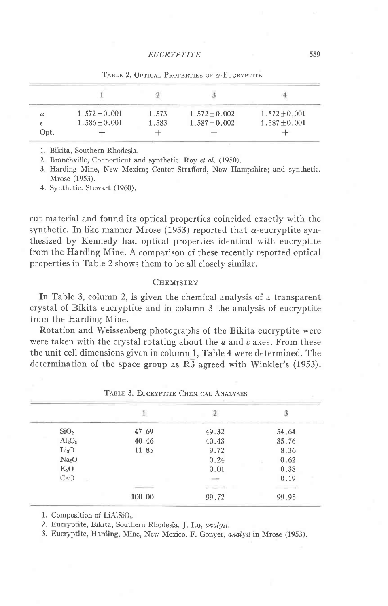| ω          | $1.572 + 0.001$ | 1.573 | $1.572 \pm 0.002$ | $1.572 \pm 0.001$ |
|------------|-----------------|-------|-------------------|-------------------|
| $\epsilon$ | $1.586 + 0.001$ | 1.583 | $1.587 \pm 0.002$ | $1.587 + 0.001$   |
| Opt.       |                 |       |                   |                   |

TABLE 2. OPTICAL PROPERTIES OF  $\alpha$ -EUCRYPTITE

l. Bikita, Southern Rhodesia.

2. Branchville, Connecticut and synthetic. Roy et al. (1950).

.1. Harding Mine, New Mexico; Center Strafiord, New Hampshire; and synthetic. Mrose (1953).

4. Synthetic. Stewart (1960).

cut material and found its optical properties coincided exactly with the synthetic. In like manner Mrose (1953) reported that  $\alpha$ -eucryptite synthesized by Kennedy had optical properties identical with eucryptite from the Harding Mine. A comparison of these recently reported optical properties in Table 2 shows them to be all closely similar.

## CHEMISTRY

In Table 3, column 2, is given the chemical analysis of a transparent crystal of Bikita eucryptite and in column 3 the analysis of eucryptite from the Harding Mine.

Rotation and Weissenberg photographs of the Bikita eucryptite were were taken with the crystal rotating about the  $a$  and  $c$  axes. From these the unit cell dimensions given in column 1, Table 4 were determined. The determination of the space group as  $R\overline{3}$  agreed with Winkler's (1953).

| SiO <sub>2</sub>               | 47.69  | 49.32  | 54.64 |
|--------------------------------|--------|--------|-------|
| Al <sub>2</sub> O <sub>3</sub> | 40.46  | 40.43  | 35.76 |
| Li <sub>2</sub> O              | 11.85  | 9.72   | 8.36  |
| Na <sub>2</sub> O              |        | 0.24   | 0.62  |
| $K_2O$                         |        | 0.01   | 0.38  |
| CaO                            |        | $\sim$ | 0.19  |
|                                |        | ---    |       |
|                                | 100.00 | 99.72  | 99.95 |

TABLE 3. EUCRVPTUE CHEMICAL ANALYSES

1. Composition of LiAlSiO<sub>4</sub>.

2. Eucryptite, Bikita, Southern Rhodesia. J. Ito, analyst.

3. Eucryptite, Harding, Mine, New Mexico. F. Gonyer, analystin Mrose (1953).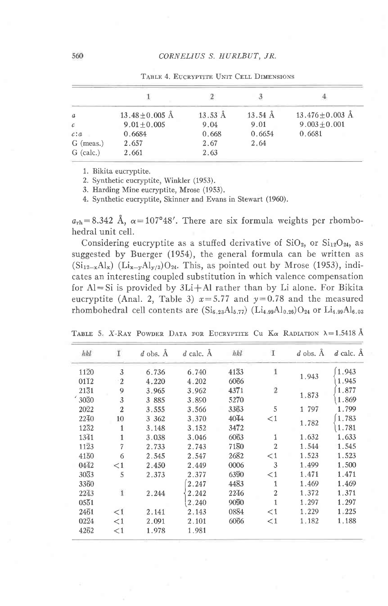| $\boldsymbol{a}$ | $13.48 \pm 0.005$ Å | $13.53 \text{ Å}$ | $13.54 \text{ Å}$ | $13.476 \pm 0.003$ Å |
|------------------|---------------------|-------------------|-------------------|----------------------|
| $\mathcal{C}$    | $9.01 + 0.005$      | 9.04              | 9.01              | $9.003 \pm 0.001$    |
| c: a             | 0.6684              | 0.668             | 0.6654            | 0.6681               |
| $G$ (meas.)      | 2.657               | 2.67              | 2.64              |                      |
| $G$ (calc.)      | 2.661               | 2.63              |                   |                      |

TABLE 4. EUCRYPTITE UNIT CELL DIMENSIONS

1. Bikita eucryptite.

2. Synthetic eucryptite, Winkler (1953).

3. Harding Mine eucryptite, Mrose (1953).

4. Synthetic eucryptite, Skinner and Evans in Stewart (1960).

 $a_{\rm rh} = 8.342$  Å,  $\alpha = 107^{\circ}48'$ . There are six formula weights per rhombohedral unit cell.

Considering eucryptite as a stuffed derivative of  $SiO<sub>2</sub>$ , or  $Si<sub>12</sub>O<sub>24</sub>$ , as suggested by Buerger (1954), the general formula can be written as  $(Si_{12-x}Al_x)$   $(Li_{x-y}Al_{y/3})O_{24}$ . This, as pointed out by Mrose (1953), indicates an interesting coupled substitution in which valence compensation for  $Al = Si$  is provided by  $3Li + Al$  rather than by Li alone. For Bikita eucryptite (Anal. 2, Table 3)  $x=5.77$  and  $y=0.78$  and the measured rhombohedral cell contents are  $(Si_{6.23}Al_{5.77})$   $(Li_{4.99}Al_{0.26})O_{24}$  or  $Li_{4.99}Al_{6.03}$ 

| hkl               | I              | $d$ obs. $\AA$ | $d$ calc. $A$ | hkl  | T              | $d$ obs. $\AA$ | $d$ calc. $\AA$ |
|-------------------|----------------|----------------|---------------|------|----------------|----------------|-----------------|
| $11\overline{2}0$ | 3              | 6.736          | 6.740         | 4133 | $\mathbf{1}$   |                | 1.943           |
| 0112              | $\mathfrak{2}$ | 4,220          | 4.202         | 6066 |                | 1.943          | 1.945           |
| 2131              | 9              | 3.965          | 3.962         | 4371 | $\sqrt{2}$     |                | 1.877           |
| '3030             | 3              | 3 885          | 3.890         | 5270 |                | 1.873          | 1.869           |
| $20\overline{2}2$ | $\mathfrak{2}$ | 3.555          | 3.566         | 3363 | 5              | 1 797          | 1.799           |
| 2240              | 10             | 3 3 6 2        | 3.370         | 4044 | $\leq$ 1       |                | 1.783           |
| 1232              |                | 3.148          | 3.152         | 3472 |                | 1.782          | 1.781           |
| 1341              |                | 3.038          | 3.046         | 6063 |                | 1.632          | 1,633           |
| $11\overline{2}3$ | $\overline{7}$ | 2.733          | 2.743         | 7180 | $\overline{2}$ | 1.544          | 1.545           |
| 4150              | 6              | 2.545          | 2.547         | 2682 | $\leq 1$       | 1.523          | 1.523           |
| 0442              | $\leq$ 1       | 2.450          | 2.449         | 0006 | 3              | 1.499          | 1.500           |
| 3033              | 5              | 2.373          | 2.377         | 6390 | $\leq 1$       | 1.471          | 1.471           |
| 3360              |                |                | 2.247         | 4483 | 1              | 1.469          | 1.469           |
| 2243              | $\mathbf{1}$   | 2.244          | 2.242         | 2246 | $\overline{2}$ | 1.372          | 1.371           |
| 0551              |                |                | 2.240         | 9090 | 1              | 1.297          | 1.297           |
| 2461              | $\leq 1$       | 2.141          | 2.143         | 0884 | $\leq$ 1       | 1.229          | 1.225           |
| $02\overline{2}4$ | <1             | 2.091          | 2.101         | 6066 | $\lt 1$        | 1.182          | 1.188           |
| 4262              | $\leq$ 1       | 1.978          | 1.981         |      |                |                |                 |

TABLE 5. X-RAY POWDER DATA FOR EUCRYPTITE CU Ka RADIATION  $\lambda = 1.5418$  Å